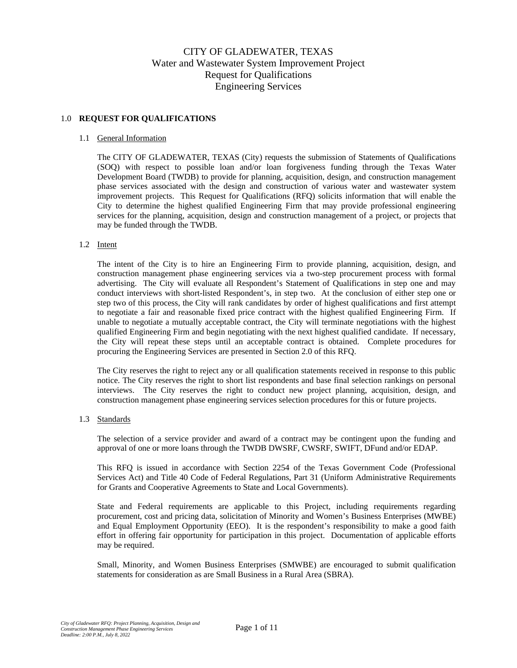# CITY OF GLADEWATER, TEXAS Water and Wastewater System Improvement Project Request for Qualifications Engineering Services

# 1.0 **REQUEST FOR QUALIFICATIONS**

# 1.1 General Information

The CITY OF GLADEWATER, TEXAS (City) requests the submission of Statements of Qualifications (SOQ) with respect to possible loan and/or loan forgiveness funding through the Texas Water Development Board (TWDB) to provide for planning, acquisition, design, and construction management phase services associated with the design and construction of various water and wastewater system improvement projects. This Request for Qualifications (RFQ) solicits information that will enable the City to determine the highest qualified Engineering Firm that may provide professional engineering services for the planning, acquisition, design and construction management of a project, or projects that may be funded through the TWDB.

## 1.2 Intent

The intent of the City is to hire an Engineering Firm to provide planning, acquisition, design, and construction management phase engineering services via a two-step procurement process with formal advertising. The City will evaluate all Respondent's Statement of Qualifications in step one and may conduct interviews with short-listed Respondent's, in step two. At the conclusion of either step one or step two of this process, the City will rank candidates by order of highest qualifications and first attempt to negotiate a fair and reasonable fixed price contract with the highest qualified Engineering Firm. If unable to negotiate a mutually acceptable contract, the City will terminate negotiations with the highest qualified Engineering Firm and begin negotiating with the next highest qualified candidate. If necessary, the City will repeat these steps until an acceptable contract is obtained. Complete procedures for procuring the Engineering Services are presented in Section 2.0 of this RFQ.

The City reserves the right to reject any or all qualification statements received in response to this public notice. The City reserves the right to short list respondents and base final selection rankings on personal interviews. The City reserves the right to conduct new project planning, acquisition, design, and construction management phase engineering services selection procedures for this or future projects.

# 1.3 Standards

The selection of a service provider and award of a contract may be contingent upon the funding and approval of one or more loans through the TWDB DWSRF, CWSRF, SWIFT, DFund and/or EDAP.

This RFQ is issued in accordance with Section 2254 of the Texas Government Code (Professional Services Act) and Title 40 Code of Federal Regulations, Part 31 (Uniform Administrative Requirements for Grants and Cooperative Agreements to State and Local Governments).

State and Federal requirements are applicable to this Project, including requirements regarding procurement, cost and pricing data, solicitation of Minority and Women's Business Enterprises (MWBE) and Equal Employment Opportunity (EEO). It is the respondent's responsibility to make a good faith effort in offering fair opportunity for participation in this project. Documentation of applicable efforts may be required.

Small, Minority, and Women Business Enterprises (SMWBE) are encouraged to submit qualification statements for consideration as are Small Business in a Rural Area (SBRA).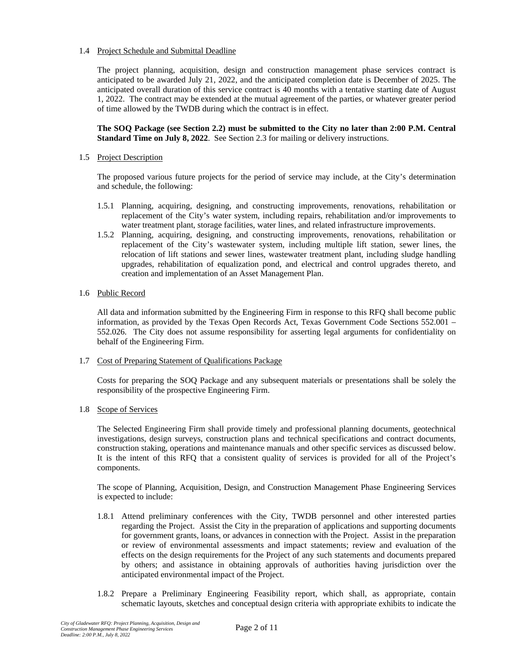# 1.4 Project Schedule and Submittal Deadline

The project planning, acquisition, design and construction management phase services contract is anticipated to be awarded July 21, 2022, and the anticipated completion date is December of 2025. The anticipated overall duration of this service contract is 40 months with a tentative starting date of August 1, 2022. The contract may be extended at the mutual agreement of the parties, or whatever greater period of time allowed by the TWDB during which the contract is in effect.

# **The SOQ Package (see Section 2.2) must be submitted to the City no later than 2:00 P.M. Central Standard Time on July 8, 2022**. See Section 2.3 for mailing or delivery instructions.

# 1.5 Project Description

The proposed various future projects for the period of service may include, at the City's determination and schedule, the following:

- 1.5.1 Planning, acquiring, designing, and constructing improvements, renovations, rehabilitation or replacement of the City's water system, including repairs, rehabilitation and/or improvements to water treatment plant, storage facilities, water lines, and related infrastructure improvements.
- 1.5.2 Planning, acquiring, designing, and constructing improvements, renovations, rehabilitation or replacement of the City's wastewater system, including multiple lift station, sewer lines, the relocation of lift stations and sewer lines, wastewater treatment plant, including sludge handling upgrades, rehabilitation of equalization pond, and electrical and control upgrades thereto, and creation and implementation of an Asset Management Plan.

## 1.6 Public Record

All data and information submitted by the Engineering Firm in response to this RFQ shall become public information, as provided by the Texas Open Records Act, Texas Government Code Sections 552.001 – 552.026. The City does not assume responsibility for asserting legal arguments for confidentiality on behalf of the Engineering Firm.

1.7 Cost of Preparing Statement of Qualifications Package

Costs for preparing the SOQ Package and any subsequent materials or presentations shall be solely the responsibility of the prospective Engineering Firm.

1.8 Scope of Services

The Selected Engineering Firm shall provide timely and professional planning documents, geotechnical investigations, design surveys, construction plans and technical specifications and contract documents, construction staking, operations and maintenance manuals and other specific services as discussed below. It is the intent of this RFQ that a consistent quality of services is provided for all of the Project's components.

The scope of Planning, Acquisition, Design, and Construction Management Phase Engineering Services is expected to include:

- 1.8.1 Attend preliminary conferences with the City, TWDB personnel and other interested parties regarding the Project. Assist the City in the preparation of applications and supporting documents for government grants, loans, or advances in connection with the Project. Assist in the preparation or review of environmental assessments and impact statements; review and evaluation of the effects on the design requirements for the Project of any such statements and documents prepared by others; and assistance in obtaining approvals of authorities having jurisdiction over the anticipated environmental impact of the Project.
- 1.8.2 Prepare a Preliminary Engineering Feasibility report, which shall, as appropriate, contain schematic layouts, sketches and conceptual design criteria with appropriate exhibits to indicate the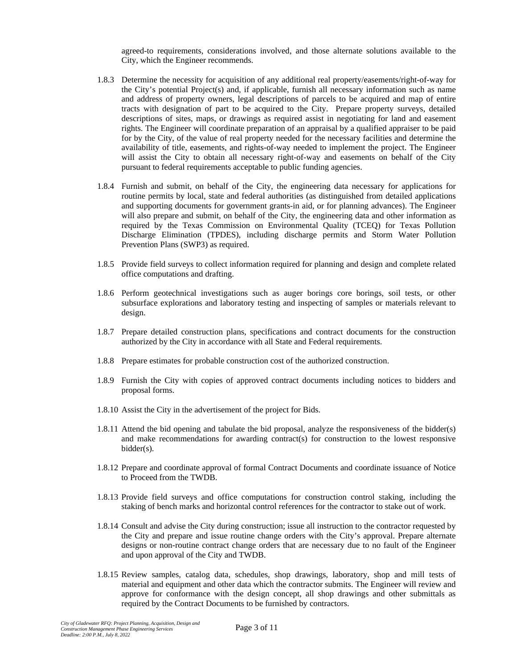agreed-to requirements, considerations involved, and those alternate solutions available to the City, which the Engineer recommends.

- 1.8.3 Determine the necessity for acquisition of any additional real property/easements/right-of-way for the City's potential Project(s) and, if applicable, furnish all necessary information such as name and address of property owners, legal descriptions of parcels to be acquired and map of entire tracts with designation of part to be acquired to the City. Prepare property surveys, detailed descriptions of sites, maps, or drawings as required assist in negotiating for land and easement rights. The Engineer will coordinate preparation of an appraisal by a qualified appraiser to be paid for by the City, of the value of real property needed for the necessary facilities and determine the availability of title, easements, and rights-of-way needed to implement the project. The Engineer will assist the City to obtain all necessary right-of-way and easements on behalf of the City pursuant to federal requirements acceptable to public funding agencies.
- 1.8.4 Furnish and submit, on behalf of the City, the engineering data necessary for applications for routine permits by local, state and federal authorities (as distinguished from detailed applications and supporting documents for government grants-in aid, or for planning advances). The Engineer will also prepare and submit, on behalf of the City, the engineering data and other information as required by the Texas Commission on Environmental Quality (TCEQ) for Texas Pollution Discharge Elimination (TPDES), including discharge permits and Storm Water Pollution Prevention Plans (SWP3) as required.
- 1.8.5 Provide field surveys to collect information required for planning and design and complete related office computations and drafting.
- 1.8.6 Perform geotechnical investigations such as auger borings core borings, soil tests, or other subsurface explorations and laboratory testing and inspecting of samples or materials relevant to design.
- 1.8.7 Prepare detailed construction plans, specifications and contract documents for the construction authorized by the City in accordance with all State and Federal requirements.
- 1.8.8 Prepare estimates for probable construction cost of the authorized construction.
- 1.8.9 Furnish the City with copies of approved contract documents including notices to bidders and proposal forms.
- 1.8.10 Assist the City in the advertisement of the project for Bids.
- 1.8.11 Attend the bid opening and tabulate the bid proposal, analyze the responsiveness of the bidder(s) and make recommendations for awarding contract(s) for construction to the lowest responsive bidder(s).
- 1.8.12 Prepare and coordinate approval of formal Contract Documents and coordinate issuance of Notice to Proceed from the TWDB.
- 1.8.13 Provide field surveys and office computations for construction control staking, including the staking of bench marks and horizontal control references for the contractor to stake out of work.
- 1.8.14 Consult and advise the City during construction; issue all instruction to the contractor requested by the City and prepare and issue routine change orders with the City's approval. Prepare alternate designs or non-routine contract change orders that are necessary due to no fault of the Engineer and upon approval of the City and TWDB.
- 1.8.15 Review samples, catalog data, schedules, shop drawings, laboratory, shop and mill tests of material and equipment and other data which the contractor submits. The Engineer will review and approve for conformance with the design concept, all shop drawings and other submittals as required by the Contract Documents to be furnished by contractors.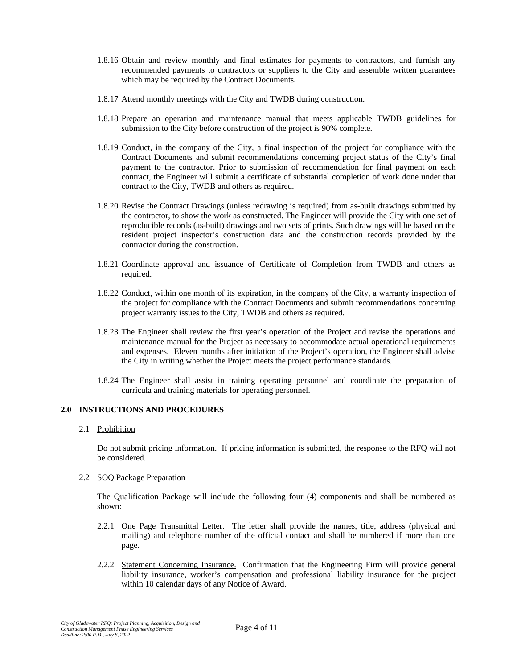- 1.8.16 Obtain and review monthly and final estimates for payments to contractors, and furnish any recommended payments to contractors or suppliers to the City and assemble written guarantees which may be required by the Contract Documents.
- 1.8.17 Attend monthly meetings with the City and TWDB during construction.
- 1.8.18 Prepare an operation and maintenance manual that meets applicable TWDB guidelines for submission to the City before construction of the project is 90% complete.
- 1.8.19 Conduct, in the company of the City, a final inspection of the project for compliance with the Contract Documents and submit recommendations concerning project status of the City's final payment to the contractor. Prior to submission of recommendation for final payment on each contract, the Engineer will submit a certificate of substantial completion of work done under that contract to the City, TWDB and others as required.
- 1.8.20 Revise the Contract Drawings (unless redrawing is required) from as-built drawings submitted by the contractor, to show the work as constructed. The Engineer will provide the City with one set of reproducible records (as-built) drawings and two sets of prints. Such drawings will be based on the resident project inspector's construction data and the construction records provided by the contractor during the construction.
- 1.8.21 Coordinate approval and issuance of Certificate of Completion from TWDB and others as required.
- 1.8.22 Conduct, within one month of its expiration, in the company of the City, a warranty inspection of the project for compliance with the Contract Documents and submit recommendations concerning project warranty issues to the City, TWDB and others as required.
- 1.8.23 The Engineer shall review the first year's operation of the Project and revise the operations and maintenance manual for the Project as necessary to accommodate actual operational requirements and expenses. Eleven months after initiation of the Project's operation, the Engineer shall advise the City in writing whether the Project meets the project performance standards.
- 1.8.24 The Engineer shall assist in training operating personnel and coordinate the preparation of curricula and training materials for operating personnel.

#### **2.0 INSTRUCTIONS AND PROCEDURES**

# 2.1 Prohibition

Do not submit pricing information. If pricing information is submitted, the response to the RFQ will not be considered.

#### 2.2 SOQ Package Preparation

The Qualification Package will include the following four (4) components and shall be numbered as shown:

- 2.2.1 One Page Transmittal Letter. The letter shall provide the names, title, address (physical and mailing) and telephone number of the official contact and shall be numbered if more than one page.
- 2.2.2 Statement Concerning Insurance. Confirmation that the Engineering Firm will provide general liability insurance, worker's compensation and professional liability insurance for the project within 10 calendar days of any Notice of Award.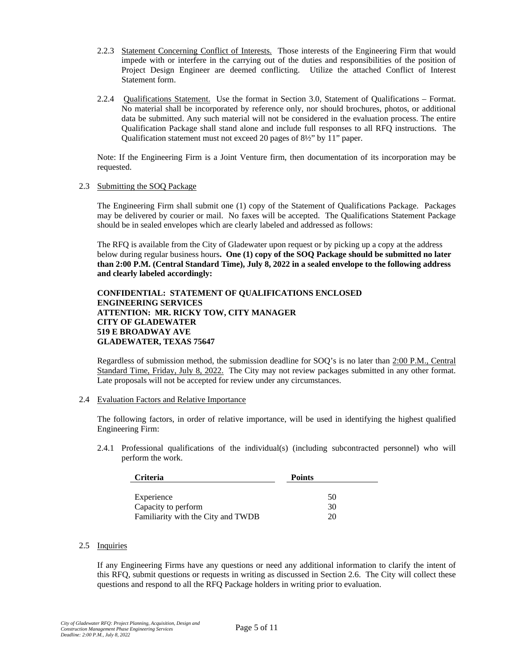- 2.2.3 Statement Concerning Conflict of Interests. Those interests of the Engineering Firm that would impede with or interfere in the carrying out of the duties and responsibilities of the position of Project Design Engineer are deemed conflicting. Utilize the attached Conflict of Interest Statement form.
- 2.2.4 Qualifications Statement. Use the format in Section 3.0, Statement of Qualifications Format. No material shall be incorporated by reference only, nor should brochures, photos, or additional data be submitted. Any such material will not be considered in the evaluation process. The entire Qualification Package shall stand alone and include full responses to all RFQ instructions. The Qualification statement must not exceed 20 pages of 8½" by 11" paper.

Note: If the Engineering Firm is a Joint Venture firm, then documentation of its incorporation may be requested.

## 2.3 Submitting the SOQ Package

The Engineering Firm shall submit one (1) copy of the Statement of Qualifications Package. Packages may be delivered by courier or mail. No faxes will be accepted. The Qualifications Statement Package should be in sealed envelopes which are clearly labeled and addressed as follows:

The RFQ is available from the City of Gladewater upon request or by picking up a copy at the address below during regular business hours**. One (1) copy of the SOQ Package should be submitted no later than 2:00 P.M. (Central Standard Time), July 8, 2022 in a sealed envelope to the following address and clearly labeled accordingly:**

## **CONFIDENTIAL: STATEMENT OF QUALIFICATIONS ENCLOSED ENGINEERING SERVICES ATTENTION: MR. RICKY TOW, CITY MANAGER CITY OF GLADEWATER 519 E BROADWAY AVE GLADEWATER, TEXAS 75647**

Regardless of submission method, the submission deadline for SOQ's is no later than 2:00 P.M., Central Standard Time, Friday, July 8, 2022. The City may not review packages submitted in any other format. Late proposals will not be accepted for review under any circumstances.

#### 2.4 Evaluation Factors and Relative Importance

The following factors, in order of relative importance, will be used in identifying the highest qualified Engineering Firm:

2.4.1 Professional qualifications of the individual(s) (including subcontracted personnel) who will perform the work.

| <b>Criteria</b>                    | <b>Points</b> |
|------------------------------------|---------------|
|                                    |               |
| Experience                         | 50            |
| Capacity to perform                | 30            |
| Familiarity with the City and TWDB | 20            |

# 2.5 Inquiries

If any Engineering Firms have any questions or need any additional information to clarify the intent of this RFQ, submit questions or requests in writing as discussed in Section 2.6. The City will collect these questions and respond to all the RFQ Package holders in writing prior to evaluation.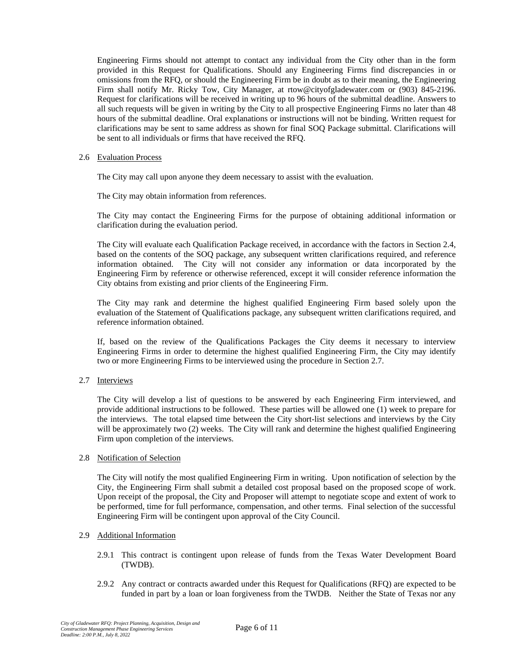Engineering Firms should not attempt to contact any individual from the City other than in the form provided in this Request for Qualifications. Should any Engineering Firms find discrepancies in or omissions from the RFQ, or should the Engineering Firm be in doubt as to their meaning, the Engineering Firm shall notify Mr. Ricky Tow, City Manager, at rtow@cityofgladewater.com or (903) 845-2196. Request for clarifications will be received in writing up to 96 hours of the submittal deadline. Answers to all such requests will be given in writing by the City to all prospective Engineering Firms no later than 48 hours of the submittal deadline. Oral explanations or instructions will not be binding. Written request for clarifications may be sent to same address as shown for final SOQ Package submittal. Clarifications will be sent to all individuals or firms that have received the RFQ.

### 2.6 Evaluation Process

The City may call upon anyone they deem necessary to assist with the evaluation.

The City may obtain information from references.

The City may contact the Engineering Firms for the purpose of obtaining additional information or clarification during the evaluation period.

The City will evaluate each Qualification Package received, in accordance with the factors in Section 2.4, based on the contents of the SOQ package, any subsequent written clarifications required, and reference information obtained. The City will not consider any information or data incorporated by the Engineering Firm by reference or otherwise referenced, except it will consider reference information the City obtains from existing and prior clients of the Engineering Firm.

The City may rank and determine the highest qualified Engineering Firm based solely upon the evaluation of the Statement of Qualifications package, any subsequent written clarifications required, and reference information obtained.

If, based on the review of the Qualifications Packages the City deems it necessary to interview Engineering Firms in order to determine the highest qualified Engineering Firm, the City may identify two or more Engineering Firms to be interviewed using the procedure in Section 2.7.

2.7 Interviews

The City will develop a list of questions to be answered by each Engineering Firm interviewed, and provide additional instructions to be followed. These parties will be allowed one (1) week to prepare for the interviews. The total elapsed time between the City short-list selections and interviews by the City will be approximately two  $(2)$  weeks. The City will rank and determine the highest qualified Engineering Firm upon completion of the interviews.

#### 2.8 Notification of Selection

The City will notify the most qualified Engineering Firm in writing. Upon notification of selection by the City, the Engineering Firm shall submit a detailed cost proposal based on the proposed scope of work. Upon receipt of the proposal, the City and Proposer will attempt to negotiate scope and extent of work to be performed, time for full performance, compensation, and other terms. Final selection of the successful Engineering Firm will be contingent upon approval of the City Council.

#### 2.9 Additional Information

- 2.9.1 This contract is contingent upon release of funds from the Texas Water Development Board (TWDB).
- 2.9.2 Any contract or contracts awarded under this Request for Qualifications (RFQ) are expected to be funded in part by a loan or loan forgiveness from the TWDB. Neither the State of Texas nor any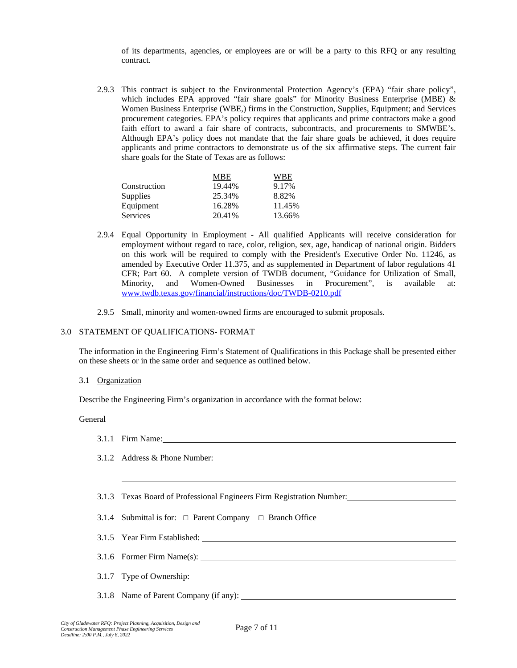of its departments, agencies, or employees are or will be a party to this RFQ or any resulting contract.

2.9.3 This contract is subject to the Environmental Protection Agency's (EPA) "fair share policy", which includes EPA approved "fair share goals" for Minority Business Enterprise (MBE) & Women Business Enterprise (WBE,) firms in the Construction, Supplies, Equipment; and Services procurement categories. EPA's policy requires that applicants and prime contractors make a good faith effort to award a fair share of contracts, subcontracts, and procurements to SMWBE's. Although EPA's policy does not mandate that the fair share goals be achieved, it does require applicants and prime contractors to demonstrate us of the six affirmative steps. The current fair share goals for the State of Texas are as follows:

|                 | MBE    | WBE    |
|-----------------|--------|--------|
| Construction    | 19.44% | 9.17%  |
| Supplies        | 25.34% | 8.82%  |
| Equipment       | 16.28% | 11.45% |
| <b>Services</b> | 20.41% | 13.66% |

- 2.9.4 Equal Opportunity in Employment All qualified Applicants will receive consideration for employment without regard to race, color, religion, sex, age, handicap of national origin. Bidders on this work will be required to comply with the President's Executive Order No. 11246, as amended by Executive Order 11.375, and as supplemented in Department of labor regulations 41 CFR; Part 60. A complete version of TWDB document, "Guidance for Utilization of Small, Minority, and Women-Owned Businesses in Procurement", is available at: [www.twdb.texas.gov/financial/instructions/doc/TWDB-0210.pdf](http://www.twdb.texas.gov/financial/instructions/doc/TWDB-0210.pdf)
- 2.9.5 Small, minority and women-owned firms are encouraged to submit proposals.

### 3.0 STATEMENT OF QUALIFICATIONS- FORMAT

The information in the Engineering Firm's Statement of Qualifications in this Package shall be presented either on these sheets or in the same order and sequence as outlined below.

3.1 Organization

Describe the Engineering Firm's organization in accordance with the format below:

### General

| 3.1.1 Firm Name:                                                                                     |
|------------------------------------------------------------------------------------------------------|
| 3.1.2 Address & Phone Number:                                                                        |
|                                                                                                      |
| 3.1.3 Texas Board of Professional Engineers Firm Registration Number: ______________________________ |
| 3.1.4 Submittal is for: $\Box$ Parent Company $\Box$ Branch Office                                   |
|                                                                                                      |
|                                                                                                      |
| 3.1.7 Type of Ownership:                                                                             |
|                                                                                                      |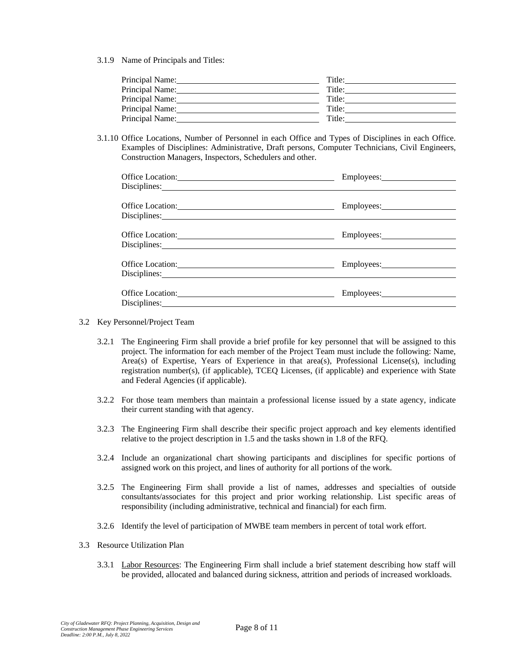3.1.9 Name of Principals and Titles:

| Principal Name: | Title: |
|-----------------|--------|
| Principal Name: | Title: |
| Principal Name: | Title: |
| Principal Name: | Title: |
| Principal Name: | Title: |

3.1.10 Office Locations, Number of Personnel in each Office and Types of Disciplines in each Office. Examples of Disciplines: Administrative, Draft persons, Computer Technicians, Civil Engineers, Construction Managers, Inspectors, Schedulers and other.

| Office Location:                                                                                                                                                                                                                                                                                                                                                                                                                                                 | Employees: 2000 |
|------------------------------------------------------------------------------------------------------------------------------------------------------------------------------------------------------------------------------------------------------------------------------------------------------------------------------------------------------------------------------------------------------------------------------------------------------------------|-----------------|
| Office Location:<br>Disciplines: <u>example and the set of the set of the set of the set of the set of the set of the set of the set of the set of the set of the set of the set of the set of the set of the set of the set of the set of the set o</u>                                                                                                                                                                                                         |                 |
| Office Location:<br>Disciplines: 2000 and 2000 and 2000 and 2000 and 2000 and 2000 and 2000 and 2000 and 2000 and 2000 and 2000 and 2000 and 2000 and 2000 and 2000 and 2000 and 2000 and 2000 and 2000 and 2000 and 2000 and 2000 and 2000 and 20                                                                                                                                                                                                               | Employees: 2000 |
| Office Location:<br>Disciplines: 2000 and 2000 and 2000 and 2000 and 2000 and 2000 and 2000 and 2000 and 2000 and 2000 and 2000 and 2000 and 2000 and 2000 and 2000 and 2000 and 2000 and 2000 and 2000 and 2000 and 2000 and 2000 and 2000 and 20                                                                                                                                                                                                               |                 |
| Office Location: New York Contains a state of the state of the state of the state of the state of the state of the state of the state of the state of the state of the state of the state of the state of the state of the sta<br>Disciplines: Note and the set of the set of the set of the set of the set of the set of the set of the set of the set of the set of the set of the set of the set of the set of the set of the set of the set of the set of th |                 |

- 3.2 Key Personnel/Project Team
	- 3.2.1 The Engineering Firm shall provide a brief profile for key personnel that will be assigned to this project. The information for each member of the Project Team must include the following: Name, Area(s) of Expertise, Years of Experience in that area(s), Professional License(s), including registration number(s), (if applicable), TCEQ Licenses, (if applicable) and experience with State and Federal Agencies (if applicable).
	- 3.2.2 For those team members than maintain a professional license issued by a state agency, indicate their current standing with that agency.
	- 3.2.3 The Engineering Firm shall describe their specific project approach and key elements identified relative to the project description in 1.5 and the tasks shown in 1.8 of the RFQ.
	- 3.2.4 Include an organizational chart showing participants and disciplines for specific portions of assigned work on this project, and lines of authority for all portions of the work.
	- 3.2.5 The Engineering Firm shall provide a list of names, addresses and specialties of outside consultants/associates for this project and prior working relationship. List specific areas of responsibility (including administrative, technical and financial) for each firm.
	- 3.2.6 Identify the level of participation of MWBE team members in percent of total work effort.
- 3.3 Resource Utilization Plan
	- 3.3.1 Labor Resources: The Engineering Firm shall include a brief statement describing how staff will be provided, allocated and balanced during sickness, attrition and periods of increased workloads.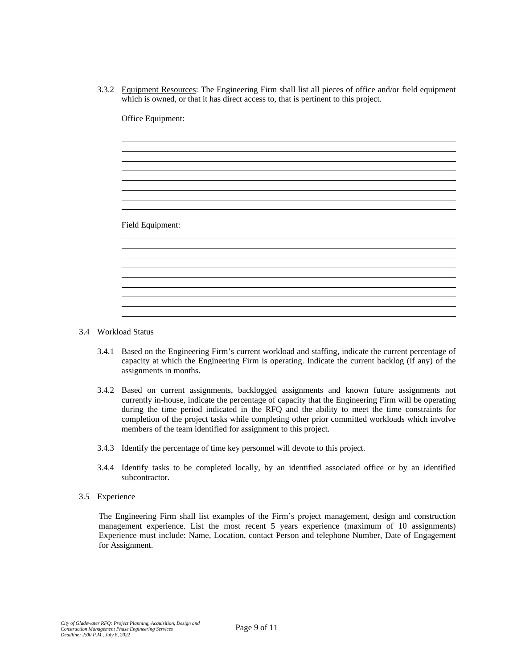3.3.2 Equipment Resources: The Engineering Firm shall list all pieces of office and/or field equipment which is owned, or that it has direct access to, that is pertinent to this project.

| Office Equipment: |  |  |
|-------------------|--|--|
|                   |  |  |
|                   |  |  |
|                   |  |  |
|                   |  |  |
|                   |  |  |
|                   |  |  |
| Field Equipment:  |  |  |
|                   |  |  |
|                   |  |  |
|                   |  |  |
|                   |  |  |
|                   |  |  |
|                   |  |  |

- 3.4 Workload Status
	- 3.4.1 Based on the Engineering Firm's current workload and staffing, indicate the current percentage of capacity at which the Engineering Firm is operating. Indicate the current backlog (if any) of the assignments in months.
	- 3.4.2 Based on current assignments, backlogged assignments and known future assignments not currently in-house, indicate the percentage of capacity that the Engineering Firm will be operating during the time period indicated in the RFQ and the ability to meet the time constraints for completion of the project tasks while completing other prior committed workloads which involve members of the team identified for assignment to this project.
	- 3.4.3 Identify the percentage of time key personnel will devote to this project.
	- 3.4.4 Identify tasks to be completed locally, by an identified associated office or by an identified subcontractor.
- 3.5 Experience

The Engineering Firm shall list examples of the Firm's project management, design and construction management experience. List the most recent 5 years experience (maximum of 10 assignments) Experience must include: Name, Location, contact Person and telephone Number, Date of Engagement for Assignment.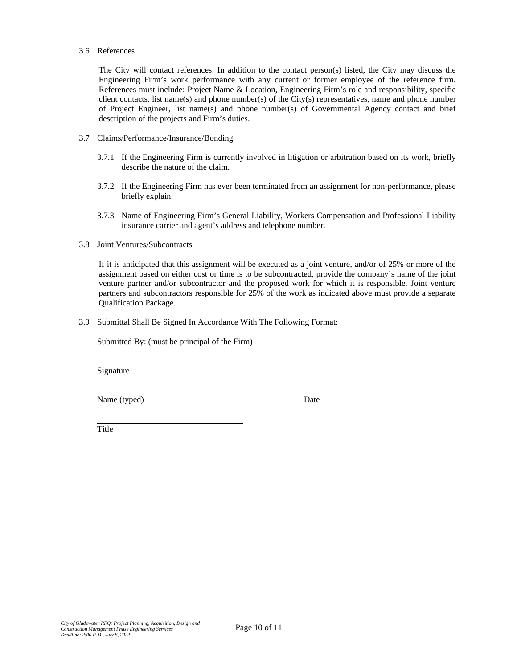#### 3.6 References

The City will contact references. In addition to the contact person(s) listed, the City may discuss the Engineering Firm's work performance with any current or former employee of the reference firm. References must include: Project Name & Location, Engineering Firm's role and responsibility, specific client contacts, list name(s) and phone number(s) of the City(s) representatives, name and phone number of Project Engineer, list name(s) and phone number(s) of Governmental Agency contact and brief description of the projects and Firm's duties.

- 3.7 Claims/Performance/Insurance/Bonding
	- 3.7.1 If the Engineering Firm is currently involved in litigation or arbitration based on its work, briefly describe the nature of the claim.
	- 3.7.2 If the Engineering Firm has ever been terminated from an assignment for non-performance, please briefly explain.
	- 3.7.3 Name of Engineering Firm's General Liability, Workers Compensation and Professional Liability insurance carrier and agent's address and telephone number.
- 3.8 Joint Ventures/Subcontracts

If it is anticipated that this assignment will be executed as a joint venture, and/or of 25% or more of the assignment based on either cost or time is to be subcontracted, provide the company's name of the joint venture partner and/or subcontractor and the proposed work for which it is responsible. Joint venture partners and subcontractors responsible for 25% of the work as indicated above must provide a separate Qualification Package.

3.9 Submittal Shall Be Signed In Accordance With The Following Format:

Submitted By: (must be principal of the Firm)

Signature

Name (typed) Date

Title